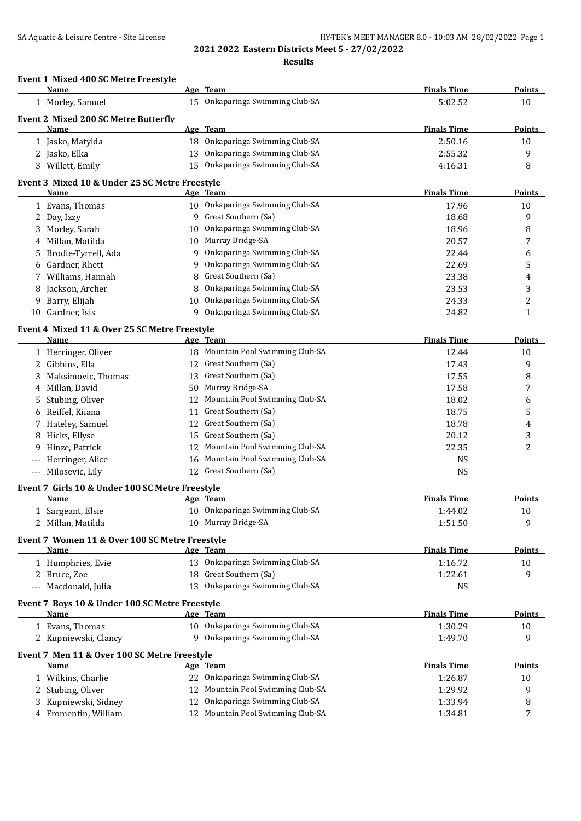# SA Aquatic & Leisure Centre - Site License **HY-TEK's MEET MANAGER 8.0 - 10:03 AM 28/02/2022** Page 1 **2021 2022 Eastern Districts Meet 5 - 27/02/2022**

**Results**

| Event 1 Mixed 400 SC Metre Freestyle<br>Name            |    | Age Team                          | <b>Finals Time</b> | Points        |
|---------------------------------------------------------|----|-----------------------------------|--------------------|---------------|
| 1 Morley, Samuel                                        |    | 15 Onkaparinga Swimming Club-SA   | 5:02.52            | 10            |
| <b>Event 2 Mixed 200 SC Metre Butterfly</b>             |    |                                   |                    |               |
| Name                                                    |    | Age Team                          | <b>Finals Time</b> | <b>Points</b> |
| 1 Jasko, Matylda                                        |    | 18 Onkaparinga Swimming Club-SA   | 2:50.16            | 10            |
| 2 Jasko, Elka                                           |    | 13 Onkaparinga Swimming Club-SA   | 2:55.32            | 9             |
| 3 Willett, Emily                                        |    | 15 Onkaparinga Swimming Club-SA   | 4:16.31            | 8             |
|                                                         |    |                                   |                    |               |
| Event 3 Mixed 10 & Under 25 SC Metre Freestyle<br>Name  |    | Age Team                          | <b>Finals Time</b> | <b>Points</b> |
| 1 Evans, Thomas                                         |    | 10 Onkaparinga Swimming Club-SA   | 17.96              | 10            |
| 2 Day, Izzy                                             |    | 9 Great Southern (Sa)             | 18.68              | 9             |
| 3 Morley, Sarah                                         | 10 | Onkaparinga Swimming Club-SA      | 18.96              | 8             |
| Millan, Matilda<br>4                                    |    | 10 Murray Bridge-SA               | 20.57              | 7             |
|                                                         |    | 9 Onkaparinga Swimming Club-SA    |                    |               |
| Brodie-Tyrrell, Ada<br>5                                |    | 9 Onkaparinga Swimming Club-SA    | 22.44              | 6             |
| Gardner, Rhett<br>6                                     |    | 8 Great Southern (Sa)             | 22.69              | 5             |
| Williams, Hannah                                        |    |                                   | 23.38              | 4             |
| Jackson, Archer                                         |    | 8 Onkaparinga Swimming Club-SA    | 23.53              | 3             |
| Barry, Elijah<br>9                                      |    | 10 Onkaparinga Swimming Club-SA   | 24.33              | 2             |
| 10 Gardner, Isis                                        |    | 9 Onkaparinga Swimming Club-SA    | 24.82              | 1             |
| Event 4 Mixed 11 & Over 25 SC Metre Freestyle           |    |                                   |                    |               |
| Name                                                    |    | Age Team                          | <b>Finals Time</b> | <b>Points</b> |
| 1 Herringer, Oliver                                     |    | 18 Mountain Pool Swimming Club-SA | 12.44              | 10            |
| 2 Gibbins, Ella                                         |    | 12 Great Southern (Sa)            | 17.43              | 9             |
| Maksimovic, Thomas<br>3.                                |    | 13 Great Southern (Sa)            | 17.55              | 8             |
| Millan, David<br>4                                      |    | 50 Murray Bridge-SA               | 17.58              | 7             |
| Stubing, Oliver<br>5                                    |    | 12 Mountain Pool Swimming Club-SA | 18.02              | 6             |
| Reiffel, Kiiana<br>6                                    |    | 11 Great Southern (Sa)            | 18.75              | 5             |
| 7 Hateley, Samuel                                       |    | 12 Great Southern (Sa)            | 18.78              | 4             |
| Hicks, Ellyse<br>8                                      | 15 | Great Southern (Sa)               | 20.12              | 3             |
| Hinze, Patrick<br>9                                     | 12 | Mountain Pool Swimming Club-SA    | 22.35              | 2             |
| --- Herringer, Alice                                    |    | 16 Mountain Pool Swimming Club-SA | <b>NS</b>          |               |
| --- Milosevic, Lily                                     |    | 12 Great Southern (Sa)            | <b>NS</b>          |               |
|                                                         |    |                                   |                    |               |
| Event 7 Girls 10 & Under 100 SC Metre Freestyle<br>Name |    | Age Team                          | <b>Finals Time</b> | <b>Points</b> |
| 1 Sargeant, Elsie                                       |    | 10 Onkaparinga Swimming Club-SA   | 1:44.02            | 10            |
| 2 Millan, Matilda                                       |    | 10 Murray Bridge-SA               |                    | 9             |
|                                                         |    |                                   | 1:51.50            |               |
| Event 7 Women 11 & Over 100 SC Metre Freestyle          |    |                                   |                    |               |
| Name                                                    |    | Age Team                          | <b>Finals Time</b> | <b>Points</b> |
| 1 Humphries, Evie                                       |    | 13 Onkaparinga Swimming Club-SA   | 1:16.72            | 10            |
| 2 Bruce, Zoe                                            |    | 18 Great Southern (Sa)            | 1:22.61            | 9             |
| --- Macdonald, Julia                                    |    | 13 Onkaparinga Swimming Club-SA   | <b>NS</b>          |               |
| Event 7 Boys 10 & Under 100 SC Metre Freestyle          |    |                                   |                    |               |
| Name                                                    |    | Age Team                          | <b>Finals Time</b> | <b>Points</b> |
| 1 Evans, Thomas                                         |    | 10 Onkaparinga Swimming Club-SA   | 1:30.29            | 10            |
| 2 Kupniewski, Clancy                                    |    | 9 Onkaparinga Swimming Club-SA    | 1:49.70            | 9             |
|                                                         |    |                                   |                    |               |
| Event 7 Men 11 & Over 100 SC Metre Freestyle<br>Name    |    | Age Team                          | <b>Finals Time</b> | <b>Points</b> |
|                                                         |    | 22 Onkaparinga Swimming Club-SA   |                    |               |
| 1 Wilkins, Charlie                                      |    |                                   | 1:26.87            | 10            |
| 2 Stubing, Oliver                                       |    | 12 Mountain Pool Swimming Club-SA | 1:29.92            | 9             |
| Kupniewski, Sidney                                      |    | 12 Onkaparinga Swimming Club-SA   | 1:33.94            | 8             |
| 4 Fromentin, William                                    |    | 12 Mountain Pool Swimming Club-SA | 1:34.81            | 7             |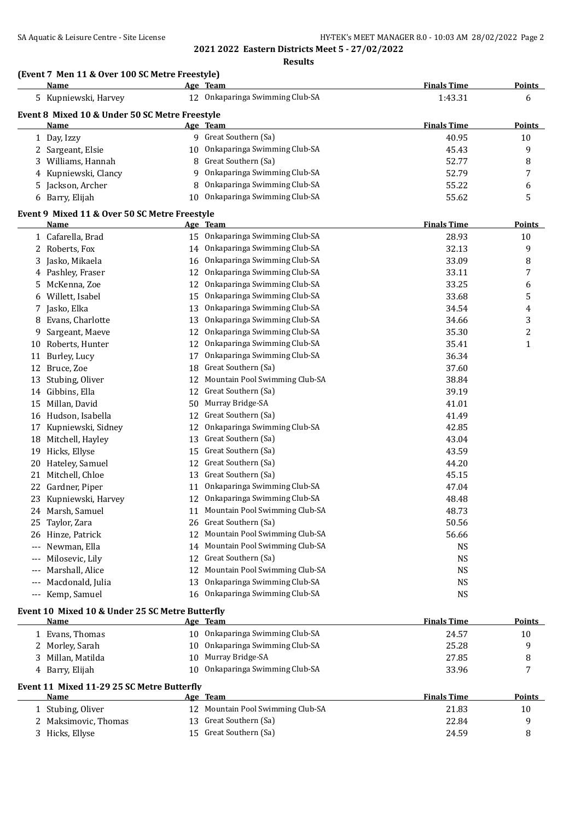# SA Aquatic & Leisure Centre - Site License **HY-TEK's MEET MANAGER 8.0 - 10:03 AM 28/02/2022** Page 2

**2021 2022 Eastern Districts Meet 5 - 27/02/2022**

### **Results**

|          | (Event 7 Men 11 & Over 100 SC Metre Freestyle) |    |                                   |                    |               |
|----------|------------------------------------------------|----|-----------------------------------|--------------------|---------------|
|          | Name                                           |    | Age Team                          | <b>Finals Time</b> | <b>Points</b> |
|          | 5 Kupniewski, Harvey                           |    | 12 Onkaparinga Swimming Club-SA   | 1:43.31            | 6             |
|          | Event 8 Mixed 10 & Under 50 SC Metre Freestyle |    |                                   |                    |               |
|          | Name                                           |    | Age Team                          | <b>Finals Time</b> | <b>Points</b> |
|          | 1 Day, Izzy                                    |    | 9 Great Southern (Sa)             | 40.95              | 10            |
|          | 2 Sargeant, Elsie                              |    | 10 Onkaparinga Swimming Club-SA   | 45.43              | 9             |
|          | 3 Williams, Hannah                             |    | 8 Great Southern (Sa)             | 52.77              | 8             |
|          | 4 Kupniewski, Clancy                           |    | 9 Onkaparinga Swimming Club-SA    | 52.79              | 7             |
|          | 5 Jackson, Archer                              |    | 8 Onkaparinga Swimming Club-SA    | 55.22              | 6             |
|          | 6 Barry, Elijah                                |    | 10 Onkaparinga Swimming Club-SA   | 55.62              | 5             |
|          | Event 9 Mixed 11 & Over 50 SC Metre Freestyle  |    |                                   |                    |               |
|          | Name                                           |    | Age Team                          | <b>Finals Time</b> | <b>Points</b> |
|          | 1 Cafarella, Brad                              |    | 15 Onkaparinga Swimming Club-SA   | 28.93              | 10            |
|          | 2 Roberts, Fox                                 |    | 14 Onkaparinga Swimming Club-SA   | 32.13              | 9             |
|          | 3 Jasko, Mikaela                               |    | 16 Onkaparinga Swimming Club-SA   | 33.09              | 8             |
|          | 4 Pashley, Fraser                              |    | 12 Onkaparinga Swimming Club-SA   | 33.11              | 7             |
|          | 5 McKenna, Zoe                                 | 12 | Onkaparinga Swimming Club-SA      | 33.25              | 6             |
|          | 6 Willett, Isabel                              | 15 | Onkaparinga Swimming Club-SA      | 33.68              | 5             |
|          | 7 Jasko, Elka                                  | 13 | Onkaparinga Swimming Club-SA      | 34.54              | 4             |
|          | 8 Evans, Charlotte                             | 13 | Onkaparinga Swimming Club-SA      | 34.66              | 3             |
|          | 9 Sargeant, Maeve                              | 12 | Onkaparinga Swimming Club-SA      | 35.30              | 2             |
|          | 10 Roberts, Hunter                             | 12 | Onkaparinga Swimming Club-SA      | 35.41              | $\mathbf 1$   |
|          | 11 Burley, Lucy                                | 17 | Onkaparinga Swimming Club-SA      | 36.34              |               |
|          | 12 Bruce, Zoe                                  |    | 18 Great Southern (Sa)            | 37.60              |               |
|          | 13 Stubing, Oliver                             |    | 12 Mountain Pool Swimming Club-SA | 38.84              |               |
|          | 14 Gibbins, Ella                               | 12 | Great Southern (Sa)               | 39.19              |               |
|          | 15 Millan, David                               |    | 50 Murray Bridge-SA               | 41.01              |               |
|          | 16 Hudson, Isabella                            | 12 | Great Southern (Sa)               | 41.49              |               |
|          | 17 Kupniewski, Sidney                          | 12 | Onkaparinga Swimming Club-SA      | 42.85              |               |
|          | 18 Mitchell, Hayley                            | 13 | Great Southern (Sa)               | 43.04              |               |
|          | 19 Hicks, Ellyse                               |    | 15 Great Southern (Sa)            | 43.59              |               |
|          | 20 Hateley, Samuel                             |    | 12 Great Southern (Sa)            | 44.20              |               |
|          | 21 Mitchell, Chloe                             |    | 13 Great Southern (Sa)            | 45.15              |               |
|          | 22 Gardner, Piper                              | 11 | Onkaparinga Swimming Club-SA      | 47.04              |               |
| 23       | Kupniewski, Harvey                             | 12 | Onkaparinga Swimming Club-SA      | 48.48              |               |
|          | 24 Marsh, Samuel                               | 11 | Mountain Pool Swimming Club-SA    | 48.73              |               |
| 25       | Taylor, Zara                                   | 26 | Great Southern (Sa)               | 50.56              |               |
|          | 26 Hinze, Patrick                              | 12 | Mountain Pool Swimming Club-SA    | 56.66              |               |
| $\cdots$ | Newman, Ella                                   |    | 14 Mountain Pool Swimming Club-SA | NS                 |               |
|          | Milosevic, Lily                                |    | 12 Great Southern (Sa)            | <b>NS</b>          |               |
| $---$    | Marshall, Alice                                |    | 12 Mountain Pool Swimming Club-SA | <b>NS</b>          |               |

### **Event 10 Mixed 10 & Under 25 SC Metre Butterfly**

| Name                                       |                 | Age Team                        | <b>Finals Time</b> | <b>Points</b> |
|--------------------------------------------|-----------------|---------------------------------|--------------------|---------------|
| 1 Evans, Thomas                            |                 | 10 Onkaparinga Swimming Club-SA | 24.57              | 10            |
| 2 Morley, Sarah                            |                 | 10 Onkaparinga Swimming Club-SA | 25.28              | 9             |
| 3 Millan, Matilda                          |                 | 10 Murray Bridge-SA             | 27.85              | 8             |
| 4 Barry, Elijah                            |                 | 10 Onkaparinga Swimming Club-SA | 33.96              |               |
|                                            |                 |                                 |                    |               |
| Event 11 Mixed 11-29 25 SC Metre Butterfly |                 |                                 |                    |               |
| <b>Name</b>                                |                 | Age Team                        | <b>Finals Time</b> | <b>Points</b> |
| 1 Stubing, Oliver                          | 12 <sup>1</sup> | Mountain Pool Swimming Club-SA  | 21.83              | 10            |
| 2 Maksimovic, Thomas                       |                 | 13 Great Southern (Sa)          | 22.84              | 9             |
| 3 Hicks, Ellyse                            |                 | 15 Great Southern (Sa)          | 24.59              | 8             |

--- Macdonald, Julia 13 Onkaparinga Swimming Club-SA NS --- Kemp, Samuel 16 Onkaparinga Swimming Club-SA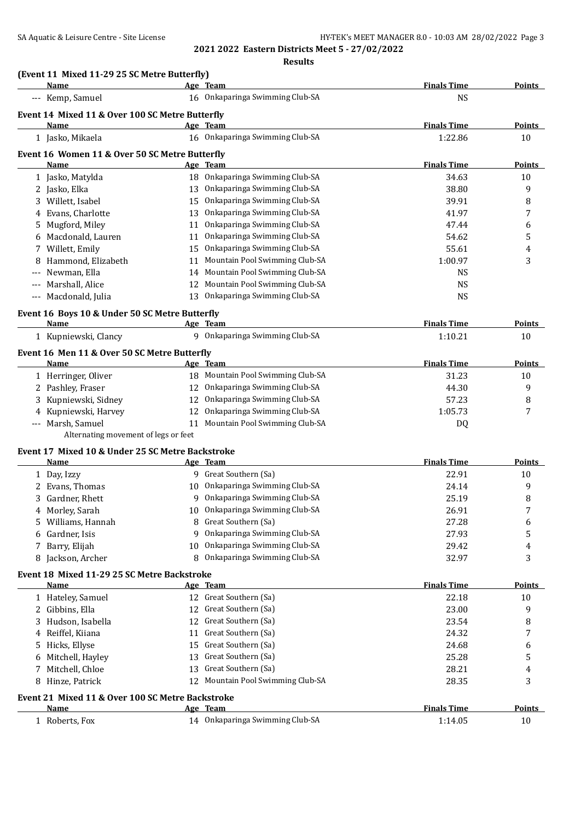**2021 2022 Eastern Districts Meet 5 - 27/02/2022**

**Results**

|       | Name                                             |    | Age Team                                    | <b>Finals Time</b> | <b>Points</b> |
|-------|--------------------------------------------------|----|---------------------------------------------|--------------------|---------------|
|       | --- Kemp, Samuel                                 |    | 16 Onkaparinga Swimming Club-SA             | <b>NS</b>          |               |
|       | Event 14 Mixed 11 & Over 100 SC Metre Butterfly  |    |                                             |                    |               |
|       | <b>Name</b>                                      |    | Age Team                                    | <b>Finals Time</b> | Points        |
|       | 1 Jasko, Mikaela                                 |    | 16 Onkaparinga Swimming Club-SA             | 1:22.86            | 10            |
|       | Event 16 Women 11 & Over 50 SC Metre Butterfly   |    |                                             |                    |               |
|       | Name                                             |    | Age Team                                    | <b>Finals Time</b> | <b>Points</b> |
|       | 1 Jasko, Matylda                                 |    | 18 Onkaparinga Swimming Club-SA             | 34.63              | 10            |
|       | 2 Jasko, Elka                                    |    | 13 Onkaparinga Swimming Club-SA             | 38.80              | 9             |
|       | 3 Willett, Isabel                                |    | 15 Onkaparinga Swimming Club-SA             | 39.91              | 8             |
|       | 4 Evans, Charlotte                               |    | 13 Onkaparinga Swimming Club-SA             | 41.97              | 7             |
|       | 5 Mugford, Miley                                 |    | 11 Onkaparinga Swimming Club-SA             | 47.44              | 6             |
|       | 6 Macdonald, Lauren                              |    | 11 Onkaparinga Swimming Club-SA             | 54.62              | 5             |
|       | 7 Willett, Emily                                 |    | 15 Onkaparinga Swimming Club-SA             | 55.61              | 4             |
|       | 8 Hammond, Elizabeth                             |    | 11 Mountain Pool Swimming Club-SA           | 1:00.97            | 3             |
| $---$ | Newman, Ella                                     |    | 14 Mountain Pool Swimming Club-SA           | <b>NS</b>          |               |
| $---$ | Marshall, Alice                                  |    | 12 Mountain Pool Swimming Club-SA           | <b>NS</b>          |               |
|       | --- Macdonald, Julia                             | 13 | Onkaparinga Swimming Club-SA                | <b>NS</b>          |               |
|       | Event 16 Boys 10 & Under 50 SC Metre Butterfly   |    |                                             |                    |               |
|       | Name                                             |    | Age Team                                    | <b>Finals Time</b> | <b>Points</b> |
|       | 1 Kupniewski, Clancy                             |    | 9 Onkaparinga Swimming Club-SA              | 1:10.21            | 10            |
|       | Event 16 Men 11 & Over 50 SC Metre Butterfly     |    |                                             |                    |               |
|       | Name                                             |    | <u>Age Team</u>                             | <b>Finals Time</b> | Points        |
|       | 1 Herringer, Oliver                              |    | 18 Mountain Pool Swimming Club-SA           | 31.23              | 10            |
|       | 2 Pashley, Fraser                                |    | 12 Onkaparinga Swimming Club-SA             | 44.30              | 9             |
|       | Kupniewski, Sidney                               |    | 12 Onkaparinga Swimming Club-SA             | 57.23              | 8             |
|       | 4 Kupniewski, Harvey                             |    | 12 Onkaparinga Swimming Club-SA             | 1:05.73            | 7             |
|       | --- Marsh, Samuel                                |    | 11 Mountain Pool Swimming Club-SA           | DQ                 |               |
|       | Alternating movement of legs or feet             |    |                                             |                    |               |
|       | Event 17 Mixed 10 & Under 25 SC Metre Backstroke |    |                                             |                    |               |
|       | <b>Name</b>                                      |    | Age Team                                    | <b>Finals Time</b> | <b>Points</b> |
|       | 1 Day, Izzy                                      |    | 9 Great Southern (Sa)                       | 22.91              | 10            |
|       | 2 Evans, Thomas                                  |    | 10 Onkaparinga Swimming Club-SA             |                    |               |
|       |                                                  |    |                                             | 24.14              | 9             |
|       | 3 Gardner, Rhett                                 |    | 9 Onkaparinga Swimming Club-SA              | 25.19              | 8             |
| 4     | Morley, Sarah                                    |    | Onkaparinga Swimming Club-SA                | 26.91              |               |
| 5.    | Williams, Hannah                                 | 8  | Great Southern (Sa)                         | 27.28              | 6             |
|       | 6 Gardner, Isis                                  | 9  | Onkaparinga Swimming Club-SA                | 27.93              | 5             |
| 7     | Barry, Elijah                                    | 10 | Onkaparinga Swimming Club-SA                | 29.42              | 4             |
|       | 8 Jackson, Archer                                | 8  | Onkaparinga Swimming Club-SA                | 32.97              | 3             |
|       | Event 18 Mixed 11-29 25 SC Metre Backstroke      |    |                                             |                    |               |
|       | Name                                             |    | Age Team                                    | <b>Finals Time</b> | Points        |
|       | 1 Hateley, Samuel                                |    | 12 Great Southern (Sa)                      | 22.18              | 10            |
|       | 2 Gibbins, Ella                                  | 12 | Great Southern (Sa)                         | 23.00              | 9             |
| 3     | Hudson, Isabella                                 | 12 | Great Southern (Sa)                         | 23.54              | 8             |
| 4     | Reiffel, Kiiana                                  | 11 | Great Southern (Sa)                         | 24.32              | 7             |
| 5     | Hicks, Ellyse                                    | 15 | Great Southern (Sa)                         | 24.68              | 6             |
| 6     | Mitchell, Hayley                                 | 13 | Great Southern (Sa)                         | 25.28              | 5             |
| 7     | Mitchell, Chloe                                  | 13 | Great Southern (Sa)                         | 28.21              | 4             |
|       | 8 Hinze, Patrick                                 |    | 12 Mountain Pool Swimming Club-SA           | 28.35              | 3             |
|       | Event 21 Mixed 11 & Over 100 SC Metre Backstroke |    |                                             |                    |               |
|       | Name                                             |    | Age Team<br>14 Onkaparinga Swimming Club-SA | <b>Finals Time</b> | <b>Points</b> |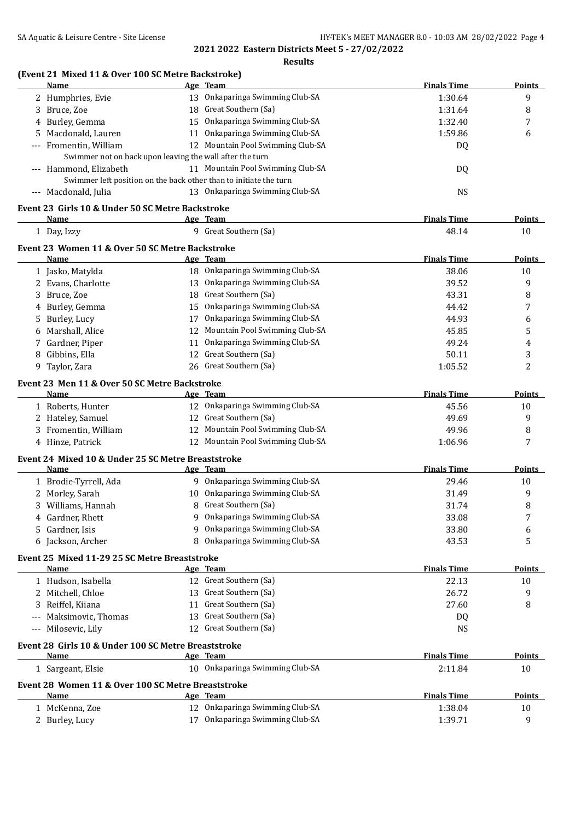**2021 2022 Eastern Districts Meet 5 - 27/02/2022**

**Results**

# **(Event 21 Mixed 11 & Over 100 SC Metre Backstroke)**

|       | <b>Name</b>                                                       |    | Age Team                          | <b>Finals Time</b> | <b>Points</b> |
|-------|-------------------------------------------------------------------|----|-----------------------------------|--------------------|---------------|
|       | 2 Humphries, Evie                                                 |    | 13 Onkaparinga Swimming Club-SA   | 1:30.64            | 9             |
| 3     | Bruce, Zoe                                                        |    | 18 Great Southern (Sa)            | 1:31.64            | 8             |
| 4     | Burley, Gemma                                                     |    | 15 Onkaparinga Swimming Club-SA   | 1:32.40            | 7             |
| 5     | Macdonald, Lauren                                                 |    | 11 Onkaparinga Swimming Club-SA   | 1:59.86            | 6             |
| $---$ | Fromentin, William                                                |    | 12 Mountain Pool Swimming Club-SA | DQ                 |               |
|       | Swimmer not on back upon leaving the wall after the turn          |    |                                   |                    |               |
|       | --- Hammond, Elizabeth                                            |    | 11 Mountain Pool Swimming Club-SA | DQ                 |               |
|       | Swimmer left position on the back other than to initiate the turn |    |                                   |                    |               |
|       | --- Macdonald, Julia                                              |    | 13 Onkaparinga Swimming Club-SA   | <b>NS</b>          |               |
|       | Event 23 Girls 10 & Under 50 SC Metre Backstroke                  |    |                                   |                    |               |
|       | Name                                                              |    | Age Team                          | <b>Finals Time</b> | <b>Points</b> |
|       | 1 Day, Izzy                                                       |    | 9 Great Southern (Sa)             | 48.14              | 10            |
|       |                                                                   |    |                                   |                    |               |
|       | Event 23 Women 11 & Over 50 SC Metre Backstroke                   |    |                                   |                    |               |
|       | Name                                                              |    | Age Team                          | <b>Finals Time</b> | Points        |
|       | 1 Jasko, Matylda                                                  |    | 18 Onkaparinga Swimming Club-SA   | 38.06              | 10            |
|       | 2 Evans, Charlotte                                                |    | 13 Onkaparinga Swimming Club-SA   | 39.52              | 9             |
| 3     | Bruce, Zoe                                                        |    | 18 Great Southern (Sa)            | 43.31              | 8             |
| 4     | Burley, Gemma                                                     |    | 15 Onkaparinga Swimming Club-SA   | 44.42              | 7             |
| 5     | Burley, Lucy                                                      |    | 17 Onkaparinga Swimming Club-SA   | 44.93              | 6             |
| 6     | Marshall, Alice                                                   |    | 12 Mountain Pool Swimming Club-SA | 45.85              | 5             |
|       | Gardner, Piper                                                    | 11 | Onkaparinga Swimming Club-SA      | 49.24              | 4             |
| 8     | Gibbins, Ella                                                     | 12 | Great Southern (Sa)               | 50.11              | 3             |
|       | 9 Taylor, Zara                                                    |    | 26 Great Southern (Sa)            | 1:05.52            | 2             |
|       | Event 23 Men 11 & Over 50 SC Metre Backstroke                     |    |                                   |                    |               |
|       | Name                                                              |    | Age Team                          | <b>Finals Time</b> | Points        |
|       | 1 Roberts, Hunter                                                 |    | 12 Onkaparinga Swimming Club-SA   | 45.56              | 10            |
|       | 2 Hateley, Samuel                                                 |    | 12 Great Southern (Sa)            | 49.69              | 9             |
|       | 3 Fromentin, William                                              |    | 12 Mountain Pool Swimming Club-SA | 49.96              | 8             |
|       | 4 Hinze, Patrick                                                  |    | 12 Mountain Pool Swimming Club-SA | 1:06.96            | 7             |
|       | Event 24 Mixed 10 & Under 25 SC Metre Breaststroke                |    |                                   |                    |               |
|       | Name                                                              |    | Age Team                          | <b>Finals Time</b> | <b>Points</b> |
|       | 1 Brodie-Tyrrell, Ada                                             |    | 9 Onkaparinga Swimming Club-SA    | 29.46              | 10            |
|       | 2 Morley, Sarah                                                   |    | 10 Onkaparinga Swimming Club-SA   | 31.49              | 9             |
|       | 3 Williams, Hannah                                                |    | 8 Great Southern (Sa)             | 31.74              | 8             |
|       | Gardner, Rhett                                                    |    | 9 Onkaparinga Swimming Club-SA    | 33.08              | 7             |
|       |                                                                   |    | 9 Onkaparinga Swimming Club-SA    |                    |               |
|       | 5 Gardner, Isis                                                   |    | 8 Onkaparinga Swimming Club-SA    | 33.80              | 6             |
|       | 6 Jackson, Archer                                                 |    |                                   | 43.53              | 5             |
|       | Event 25 Mixed 11-29 25 SC Metre Breaststroke                     |    |                                   |                    |               |
|       | <b>Name</b>                                                       |    | Age Team                          | <b>Finals Time</b> | <b>Points</b> |
|       | 1 Hudson, Isabella                                                |    | 12 Great Southern (Sa)            | 22.13              | 10            |
|       | 2 Mitchell, Chloe                                                 |    | 13 Great Southern (Sa)            | 26.72              | 9             |
|       | 3 Reiffel, Kiiana                                                 |    | 11 Great Southern (Sa)            | 27.60              | 8             |
|       | Maksimovic, Thomas                                                |    | 13 Great Southern (Sa)            | DQ                 |               |
|       | --- Milosevic, Lily                                               |    | 12 Great Southern (Sa)            | <b>NS</b>          |               |
|       | Event 28 Girls 10 & Under 100 SC Metre Breaststroke               |    |                                   |                    |               |
|       | Name                                                              |    | Age Team                          | <b>Finals Time</b> | Points        |
|       | 1 Sargeant, Elsie                                                 |    | 10 Onkaparinga Swimming Club-SA   | 2:11.84            | 10            |
|       |                                                                   |    |                                   |                    |               |
|       | Event 28 Women 11 & Over 100 SC Metre Breaststroke<br>Name        |    | Age Team                          | <b>Finals Time</b> | <b>Points</b> |
|       | 1 McKenna, Zoe                                                    |    | 12 Onkaparinga Swimming Club-SA   | 1:38.04            |               |
|       |                                                                   |    | 17 Onkaparinga Swimming Club-SA   |                    | 10            |
|       | 2 Burley, Lucy                                                    |    |                                   | 1:39.71            | 9             |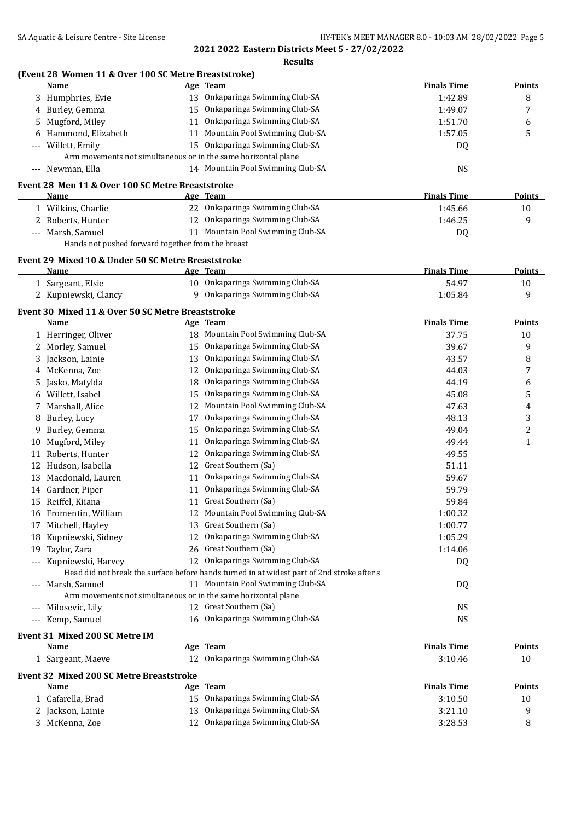**2021 2022 Eastern Districts Meet 5 - 27/02/2022 Results**

|     | (Event 28 Women 11 & Over 100 SC Metre Breaststroke)<br>Name    |    | Age Team                                                                                   | <b>Finals Time</b> | <b>Points</b>           |
|-----|-----------------------------------------------------------------|----|--------------------------------------------------------------------------------------------|--------------------|-------------------------|
|     | 3 Humphries, Evie                                               |    | 13 Onkaparinga Swimming Club-SA                                                            | 1:42.89            | 8                       |
| 4   | Burley, Gemma                                                   |    | 15 Onkaparinga Swimming Club-SA                                                            | 1:49.07            | 7                       |
| 5   | Mugford, Miley                                                  |    | 11 Onkaparinga Swimming Club-SA                                                            | 1:51.70            | 6                       |
| 6   | Hammond, Elizabeth                                              | 11 | Mountain Pool Swimming Club-SA                                                             | 1:57.05            | 5                       |
|     | Willett, Emily                                                  | 15 | Onkaparinga Swimming Club-SA                                                               | DQ                 |                         |
|     |                                                                 |    | Arm movements not simultaneous or in the same horizontal plane                             |                    |                         |
|     | --- Newman, Ella                                                |    | 14 Mountain Pool Swimming Club-SA                                                          | <b>NS</b>          |                         |
|     |                                                                 |    |                                                                                            |                    |                         |
|     | Event 28 Men 11 & Over 100 SC Metre Breaststroke<br><b>Name</b> |    | Age Team                                                                                   | <b>Finals Time</b> | Points                  |
|     | 1 Wilkins, Charlie                                              |    | 22 Onkaparinga Swimming Club-SA                                                            | 1:45.66            | 10                      |
|     | 2 Roberts, Hunter                                               |    | 12 Onkaparinga Swimming Club-SA                                                            | 1:46.25            | 9                       |
|     | --- Marsh, Samuel                                               |    | 11 Mountain Pool Swimming Club-SA                                                          | DQ                 |                         |
|     | Hands not pushed forward together from the breast               |    |                                                                                            |                    |                         |
|     |                                                                 |    |                                                                                            |                    |                         |
|     | Event 29 Mixed 10 & Under 50 SC Metre Breaststroke              |    |                                                                                            |                    |                         |
|     | Name                                                            |    | Age Team                                                                                   | <b>Finals Time</b> | <b>Points</b>           |
|     | 1 Sargeant, Elsie                                               |    | 10 Onkaparinga Swimming Club-SA                                                            | 54.97              | 10                      |
|     | 2 Kupniewski, Clancy                                            |    | 9 Onkaparinga Swimming Club-SA                                                             | 1:05.84            | 9                       |
|     | Event 30 Mixed 11 & Over 50 SC Metre Breaststroke               |    |                                                                                            |                    |                         |
|     | Name                                                            |    | <u>Age Team</u>                                                                            | <b>Finals Time</b> | <b>Points</b>           |
|     | 1 Herringer, Oliver                                             |    | 18 Mountain Pool Swimming Club-SA                                                          | 37.75              | 10                      |
|     | 2 Morley, Samuel                                                |    | 15 Onkaparinga Swimming Club-SA                                                            | 39.67              | 9                       |
| 3   | Jackson, Lainie                                                 |    | 13 Onkaparinga Swimming Club-SA                                                            | 43.57              | 8                       |
| 4   | McKenna, Zoe                                                    |    | 12 Onkaparinga Swimming Club-SA                                                            | 44.03              | 7                       |
| 5   | Jasko, Matylda                                                  | 18 | Onkaparinga Swimming Club-SA                                                               | 44.19              | 6                       |
| 6   | Willett, Isabel                                                 |    | 15 Onkaparinga Swimming Club-SA                                                            | 45.08              | 5                       |
| 7   | Marshall, Alice                                                 | 12 | Mountain Pool Swimming Club-SA                                                             | 47.63              | 4                       |
| 8   | Burley, Lucy                                                    | 17 | Onkaparinga Swimming Club-SA                                                               | 48.13              | 3                       |
| 9   | Burley, Gemma                                                   | 15 | Onkaparinga Swimming Club-SA                                                               | 49.04              | $\overline{\mathbf{c}}$ |
| 10  | Mugford, Miley                                                  | 11 | Onkaparinga Swimming Club-SA                                                               | 49.44              | $\mathbf{1}$            |
| 11  | Roberts, Hunter                                                 | 12 | Onkaparinga Swimming Club-SA                                                               | 49.55              |                         |
| 12  | Hudson, Isabella                                                | 12 | Great Southern (Sa)                                                                        | 51.11              |                         |
| 13  | Macdonald, Lauren                                               |    | 11 Onkaparinga Swimming Club-SA                                                            | 59.67              |                         |
| 14  | Gardner, Piper                                                  | 11 | Onkaparinga Swimming Club-SA                                                               | 59.79              |                         |
| 15  | Reiffel, Kiiana                                                 |    | 11 Great Southern (Sa)                                                                     | 59.84              |                         |
|     | 16 Fromentin, William                                           |    | 12 Mountain Pool Swimming Club-SA                                                          | 1:00.32            |                         |
| 17  | Mitchell, Hayley                                                |    | 13 Great Southern (Sa)                                                                     | 1:00.77            |                         |
| 18  | Kupniewski, Sidney                                              | 12 | Onkaparinga Swimming Club-SA                                                               | 1:05.29            |                         |
| 19  | Taylor, Zara                                                    | 26 | Great Southern (Sa)                                                                        | 1:14.06            |                         |
| --- | Kupniewski, Harvey                                              |    | 12 Onkaparinga Swimming Club-SA                                                            | DQ                 |                         |
|     |                                                                 |    | Head did not break the surface before hands turned in at widest part of 2nd stroke after s |                    |                         |
|     | Marsh, Samuel                                                   |    | 11 Mountain Pool Swimming Club-SA                                                          | DQ                 |                         |
|     |                                                                 |    | Arm movements not simultaneous or in the same horizontal plane                             |                    |                         |
|     | Milosevic, Lily                                                 |    | 12 Great Southern (Sa)                                                                     | <b>NS</b>          |                         |
| --- | Kemp, Samuel                                                    |    | 16 Onkaparinga Swimming Club-SA                                                            | <b>NS</b>          |                         |
|     | Event 31 Mixed 200 SC Metre IM                                  |    |                                                                                            |                    |                         |
|     | <b>Name</b>                                                     |    | Age Team                                                                                   | <b>Finals Time</b> | <b>Points</b>           |
|     | 1 Sargeant, Maeve                                               |    | 12 Onkaparinga Swimming Club-SA                                                            | 3:10.46            | 10                      |
|     | Event 32 Mixed 200 SC Metre Breaststroke                        |    |                                                                                            |                    |                         |
|     | Name                                                            |    | Age Team                                                                                   | <b>Finals Time</b> | <b>Points</b>           |
|     | 1 Cafarella, Brad                                               |    | 15 Onkaparinga Swimming Club-SA                                                            | 3:10.50            | 10                      |
|     | 2 Jackson, Lainie                                               |    | 13 Onkaparinga Swimming Club-SA                                                            | 3:21.10            | 9                       |
|     | 3 McKenna, Zoe                                                  |    | 12 Onkaparinga Swimming Club-SA                                                            | 3:28.53            | 8                       |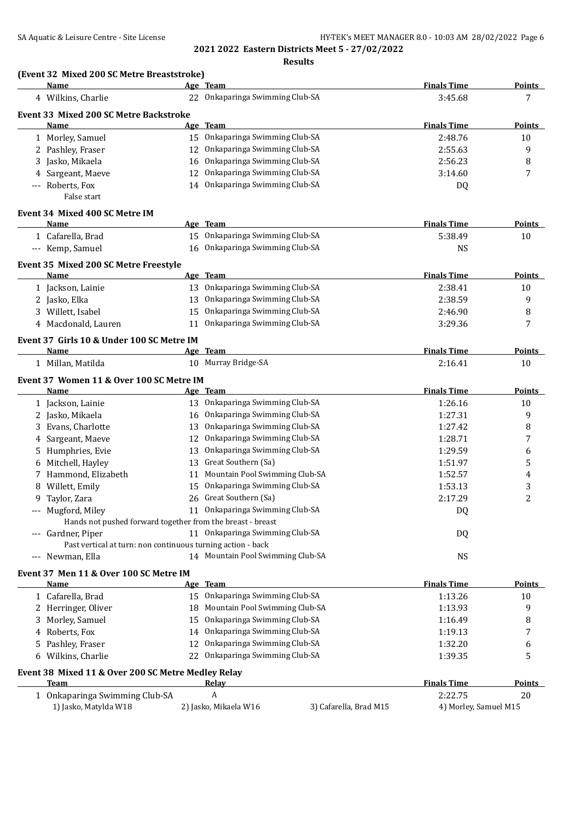# SA Aquatic & Leisure Centre - Site License **HY-TEK's MEET MANAGER 8.0 - 10:03 AM 28/02/2022** Page 6

**2021 2022 Eastern Districts Meet 5 - 27/02/2022**

**(Event 32 Mixed 200 SC Metre Breaststroke)**

| Name                                               | Age Team                                                    |                        | <b>Finals Time</b>    | <b>Points</b>  |
|----------------------------------------------------|-------------------------------------------------------------|------------------------|-----------------------|----------------|
| 4 Wilkins, Charlie                                 | 22 Onkaparinga Swimming Club-SA                             |                        | 3:45.68               | 7              |
| Event 33 Mixed 200 SC Metre Backstroke             |                                                             |                        |                       |                |
| Name                                               | Age Team                                                    |                        | <b>Finals Time</b>    | <b>Points</b>  |
| 1 Morley, Samuel                                   | 15 Onkaparinga Swimming Club-SA                             |                        | 2:48.76               | 10             |
| 2 Pashley, Fraser                                  | 12 Onkaparinga Swimming Club-SA                             |                        | 2:55.63               | 9              |
| 3 Jasko, Mikaela                                   | Onkaparinga Swimming Club-SA<br>16                          |                        | 2:56.23               | 8              |
| 4 Sargeant, Maeve                                  | Onkaparinga Swimming Club-SA<br>12                          |                        | 3:14.60               | 7              |
| Roberts, Fox<br>$-\, -\, -$                        | Onkaparinga Swimming Club-SA<br>14                          |                        | DQ                    |                |
| False start                                        |                                                             |                        |                       |                |
| Event 34 Mixed 400 SC Metre IM                     |                                                             |                        |                       |                |
| Name                                               | Age Team                                                    |                        | <b>Finals Time</b>    | <b>Points</b>  |
| 1 Cafarella, Brad                                  | 15 Onkaparinga Swimming Club-SA                             |                        | 5:38.49               | 10             |
| --- Kemp, Samuel                                   | 16 Onkaparinga Swimming Club-SA                             |                        | <b>NS</b>             |                |
|                                                    |                                                             |                        |                       |                |
| Event 35 Mixed 200 SC Metre Freestyle<br>Name      | Age Team                                                    |                        | <b>Finals Time</b>    | <b>Points</b>  |
|                                                    | 13 Onkaparinga Swimming Club-SA                             |                        | 2:38.41               |                |
| 1 Jackson, Lainie                                  | 13 Onkaparinga Swimming Club-SA                             |                        | 2:38.59               | 10<br>9        |
| 2 Jasko, Elka<br>3 Willett, Isabel                 | 15 Onkaparinga Swimming Club-SA                             |                        | 2:46.90               | 8              |
| 4 Macdonald, Lauren                                | Onkaparinga Swimming Club-SA<br>11                          |                        | 3:29.36               | 7              |
|                                                    |                                                             |                        |                       |                |
| Event 37 Girls 10 & Under 100 SC Metre IM          |                                                             |                        |                       |                |
| Name                                               | Age Team                                                    |                        | <b>Finals Time</b>    | <b>Points</b>  |
| 1 Millan, Matilda                                  | 10 Murray Bridge-SA                                         |                        | 2:16.41               | 10             |
| Event 37 Women 11 & Over 100 SC Metre IM           |                                                             |                        |                       |                |
| Name                                               | Age Team                                                    |                        | <b>Finals Time</b>    | <b>Points</b>  |
| 1 Jackson, Lainie                                  | 13 Onkaparinga Swimming Club-SA                             |                        | 1:26.16               | 10             |
| 2 Jasko, Mikaela                                   | 16 Onkaparinga Swimming Club-SA                             |                        | 1:27.31               | 9              |
| Evans, Charlotte<br>3.                             | 13 Onkaparinga Swimming Club-SA                             |                        | 1:27.42               | 8              |
| Sargeant, Maeve<br>4                               | 12 Onkaparinga Swimming Club-SA                             |                        | 1:28.71               | 7              |
| Humphries, Evie<br>5.                              | Onkaparinga Swimming Club-SA<br>13                          |                        | 1:29.59               | 6              |
| Mitchell, Hayley<br>6                              | Great Southern (Sa)<br>13                                   |                        | 1:51.97               | 5              |
| Hammond, Elizabeth                                 | Mountain Pool Swimming Club-SA<br>11                        |                        | 1:52.57               | 4              |
| Willett, Emily<br>8                                | Onkaparinga Swimming Club-SA<br>15                          |                        | 1:53.13               | 3              |
| Taylor, Zara<br>9                                  | Great Southern (Sa)<br>26                                   |                        | 2:17.29               | $\overline{c}$ |
| Mugford, Miley                                     | 11 Onkaparinga Swimming Club-SA                             |                        | D <sub>0</sub>        |                |
|                                                    | Hands not pushed forward together from the breast - breast  |                        |                       |                |
| --- Gardner, Piper                                 | 11 Onkaparinga Swimming Club-SA                             |                        | DQ                    |                |
|                                                    | Past vertical at turn: non continuous turning action - back |                        |                       |                |
| Newman, Ella<br>$-\, -\, -$                        | 14 Mountain Pool Swimming Club-SA                           |                        | <b>NS</b>             |                |
| Event 37 Men 11 & Over 100 SC Metre IM             |                                                             |                        |                       |                |
| Name                                               | Age Team                                                    |                        | <b>Finals Time</b>    | <b>Points</b>  |
| 1 Cafarella, Brad                                  | 15 Onkaparinga Swimming Club-SA                             |                        | 1:13.26               | 10             |
| 2 Herringer, Oliver                                | Mountain Pool Swimming Club-SA<br>18.                       |                        | 1:13.93               | 9              |
| Morley, Samuel<br>3.                               | Onkaparinga Swimming Club-SA<br>15                          |                        | 1:16.49               | 8              |
| Roberts, Fox<br>4                                  | 14 Onkaparinga Swimming Club-SA                             |                        | 1:19.13               | 7              |
| Pashley, Fraser<br>5                               | Onkaparinga Swimming Club-SA<br>12                          |                        | 1:32.20               | 6              |
| Wilkins, Charlie<br>6                              | Onkaparinga Swimming Club-SA<br>22                          |                        | 1:39.35               | 5              |
| Event 38 Mixed 11 & Over 200 SC Metre Medley Relay |                                                             |                        |                       |                |
| Team                                               | Relay                                                       |                        | <b>Finals Time</b>    | <b>Points</b>  |
| 1 Onkaparinga Swimming Club-SA                     | A                                                           |                        | 2:22.75               | 20             |
| 1) Jasko, Matylda W18                              | 2) Jasko, Mikaela W16                                       | 3) Cafarella, Brad M15 | 4) Morley, Samuel M15 |                |